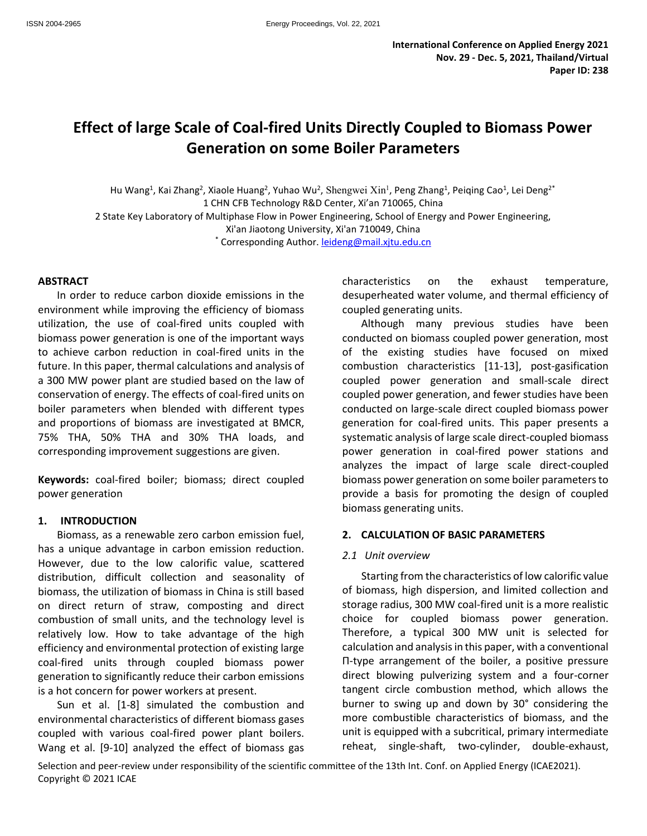# **Effect of large Scale of Coal-fired Units Directly Coupled to Biomass Power Generation on some Boiler Parameters**

Hu Wang<sup>1</sup>, Kai Zhang<sup>2</sup>, Xiaole Huang<sup>2</sup>, Yuhao Wu<sup>2</sup>, Shengwei Xin<sup>1</sup>, Peng Zhang<sup>1</sup>, Peiqing Cao<sup>1</sup>, Lei Deng<sup>2\*</sup> 1 CHN CFB Technology R&D Center, Xi'an 710065, China 2 State Key Laboratory of Multiphase Flow in Power Engineering, School of Energy and Power Engineering, Xi'an Jiaotong University, Xi'an 710049, China \* Corresponding Author. [leideng@mail.xjtu.edu.cn](mailto:leideng@mail.xjtu.edu.cn)

#### **ABSTRACT**

In order to reduce carbon dioxide emissions in the environment while improving the efficiency of biomass utilization, the use of coal-fired units coupled with biomass power generation is one of the important ways to achieve carbon reduction in coal-fired units in the future. In this paper, thermal calculations and analysis of a 300 MW power plant are studied based on the law of conservation of energy. The effects of coal-fired units on boiler parameters when blended with different types and proportions of biomass are investigated at BMCR, 75% THA, 50% THA and 30% THA loads, and corresponding improvement suggestions are given.

**Keywords:** coal-fired boiler; biomass; direct coupled power generation

#### **1. INTRODUCTION**

Biomass, as a renewable zero carbon emission fuel, has a unique advantage in carbon emission reduction. However, due to the low calorific value, scattered distribution, difficult collection and seasonality of biomass, the utilization of biomass in China is still based on direct return of straw, composting and direct combustion of small units, and the technology level is relatively low. How to take advantage of the high efficiency and environmental protection of existing large coal-fired units through coupled biomass power generation to significantly reduce their carbon emissions is a hot concern for power workers at present.

Sun et al. [1-8] simulated the combustion and environmental characteristics of different biomass gases coupled with various coal-fired power plant boilers. Wang et al. [9-10] analyzed the effect of biomass gas characteristics on the exhaust temperature, desuperheated water volume, and thermal efficiency of coupled generating units.

Although many previous studies have been conducted on biomass coupled power generation, most of the existing studies have focused on mixed combustion characteristics [11-13], post-gasification coupled power generation and small-scale direct coupled power generation, and fewer studies have been conducted on large-scale direct coupled biomass power generation for coal-fired units. This paper presents a systematic analysis of large scale direct-coupled biomass power generation in coal-fired power stations and analyzes the impact of large scale direct-coupled biomass power generation on some boiler parameters to provide a basis for promoting the design of coupled biomass generating units.

#### **2. CALCULATION OF BASIC PARAMETERS**

#### *2.1 Unit overview*

Starting from the characteristics of low calorific value of biomass, high dispersion, and limited collection and storage radius, 300 MW coal-fired unit is a more realistic choice for coupled biomass power generation. Therefore, a typical 300 MW unit is selected for calculation and analysis in this paper, with a conventional Π-type arrangement of the boiler, a positive pressure direct blowing pulverizing system and a four-corner tangent circle combustion method, which allows the burner to swing up and down by 30° considering the more combustible characteristics of biomass, and the unit is equipped with a subcritical, primary intermediate reheat, single-shaft, two-cylinder, double-exhaust,

Selection and peer-review under responsibility of the scientific committee of the 13th Int. Conf. on Applied Energy (ICAE2021). Copyright © 2021 ICAE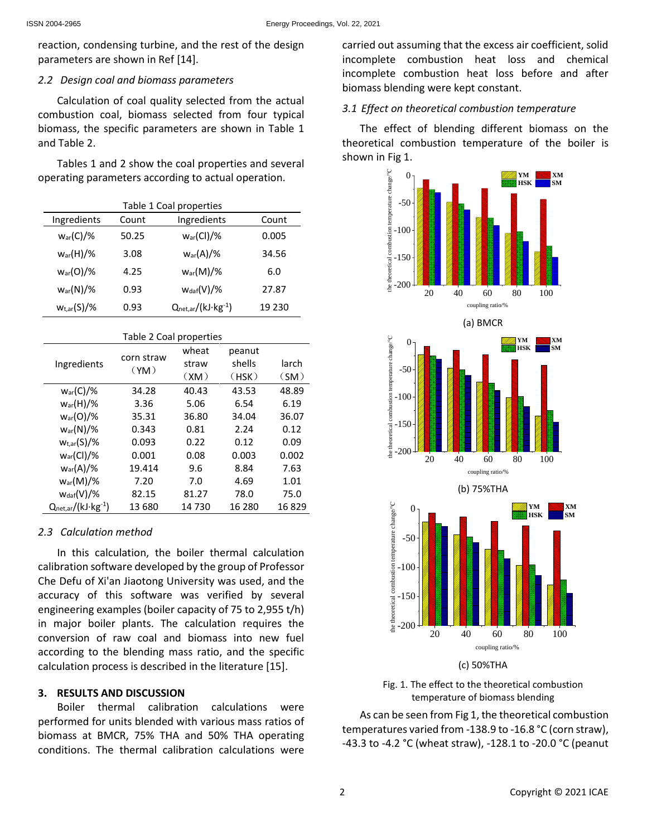reaction, condensing turbine, and the rest of the design parameters are shown in Ref [14].

#### *2.2 Design coal and biomass parameters*

Calculation of coal quality selected from the actual combustion coal, biomass selected from four typical biomass, the specific parameters are shown in Table 1 and Table 2.

Tables 1 and 2 show the coal properties and several operating parameters according to actual operation.

| Table 1 Coal properties |       |                                 |        |  |  |
|-------------------------|-------|---------------------------------|--------|--|--|
| Ingredients             | Count | Ingredients                     | Count  |  |  |
| $w_{\text{ar}}(C)/\%$   | 50.25 | $w_{\text{ar}}(Cl)/\%$          | 0.005  |  |  |
| $W_{\text{ar}}(H)/\%$   | 3.08  | $W_{\text{ar}}(A)/\%$           | 34.56  |  |  |
| $W_{\text{ar}}(O)/\%$   | 4.25  | $w_{\text{ar}}(M)/\%$           | 6.0    |  |  |
| $W_{\text{ar}}(N)/\%$   | 0.93  | $W_{\text{daf}}(V)/\%$          | 27.87  |  |  |
| $w_{t,ar}(S)/\%$        | 0.93  | $Q_{net,ar}/(kJ \cdot kg^{-1})$ | 19 230 |  |  |

| Table 2 Coal properties   |                    |       |        |       |  |  |
|---------------------------|--------------------|-------|--------|-------|--|--|
| Ingredients               | corn straw<br>(YM) | wheat | peanut |       |  |  |
|                           |                    | straw | shells | larch |  |  |
|                           |                    | (XM)  | (HSK)  | (SM)  |  |  |
| $w_{ar}(C)/\%$            | 34.28              | 40.43 | 43.53  | 48.89 |  |  |
| $w_{\text{ar}}(H)/\%$     | 3.36               | 5.06  | 6.54   | 6.19  |  |  |
| $W_{\text{ar}}(O)/\%$     | 35.31              | 36.80 | 34.04  | 36.07 |  |  |
| $w_{\text{ar}}(N)/\%$     | 0.343              | 0.81  | 2.24   | 0.12  |  |  |
| $w_{t,ar}(S)/\%$          | 0.093              | 0.22  | 0.12   | 0.09  |  |  |
| $w_{\text{ar}}(Cl)/\%$    | 0.001              | 0.08  | 0.003  | 0.002 |  |  |
| $w_{\text{ar}}(A)/\%$     | 19.414             | 9.6   | 8.84   | 7.63  |  |  |
| $w_{\text{ar}}(M)/\%$     | 7.20               | 7.0   | 4.69   | 1.01  |  |  |
| $W_{\text{daf}}(V)/\%$    | 82.15              | 81.27 | 78.0   | 75.0  |  |  |
| $Q_{net,ar}/(kJ·kg^{-1})$ | 13 680             | 14730 | 16 280 | 16829 |  |  |

### *2.3 Calculation method*

In this calculation, the boiler thermal calculation calibration software developed by the group of Professor Che Defu of Xi'an Jiaotong University was used, and the accuracy of this software was verified by several engineering examples (boiler capacity of 75 to 2,955 t/h) in major boiler plants. The calculation requires the conversion of raw coal and biomass into new fuel according to the blending mass ratio, and the specific calculation process is described in the literature [15].

### **3. RESULTS AND DISCUSSION**

Boiler thermal calibration calculations were performed for units blended with various mass ratios of biomass at BMCR, 75% THA and 50% THA operating conditions. The thermal calibration calculations were

carried out assuming that the excess air coefficient, solid incomplete combustion heat loss and chemical incomplete combustion heat loss before and after biomass blending were kept constant.

### *3.1 Effect on theoretical combustion temperature*

The effect of blending different biomass on the theoretical combustion temperature of the boiler is shown in Fig 1.







As can be seen from Fig 1, the theoretical combustion temperatures varied from -138.9 to -16.8 °C (corn straw), -43.3 to -4.2 °C (wheat straw), -128.1 to -20.0 °C (peanut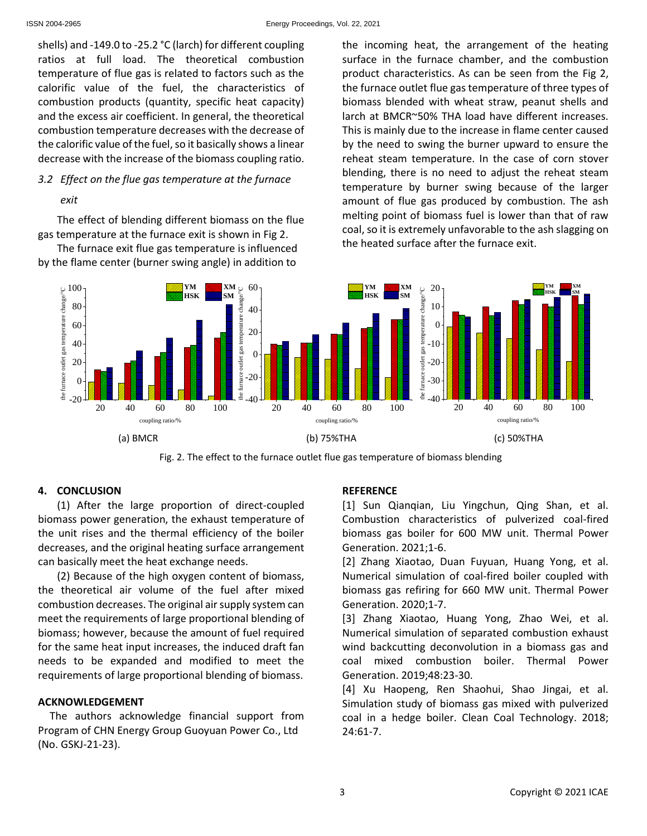shells) and -149.0 to -25.2 °C (larch) for different coupling ratios at full load. The theoretical combustion temperature of flue gas is related to factors such as the calorific value of the fuel, the characteristics of combustion products (quantity, specific heat capacity) and the excess air coefficient. In general, the theoretical combustion temperature decreases with the decrease of the calorific value of the fuel, so it basically shows a linear decrease with the increase of the biomass coupling ratio.

## *3.2 Effect on the flue gas temperature at the furnace*

#### *exit*

The effect of blending different biomass on the flue gas temperature at the furnace exit is shown in Fig 2.

The furnace exit flue gas temperature is influenced by the flame center (burner swing angle) in addition to

the incoming heat, the arrangement of the heating surface in the furnace chamber, and the combustion product characteristics. As can be seen from the Fig 2, the furnace outlet flue gas temperature of three types of biomass blended with wheat straw, peanut shells and larch at BMCR~50% THA load have different increases. This is mainly due to the increase in flame center caused by the need to swing the burner upward to ensure the reheat steam temperature. In the case of corn stover blending, there is no need to adjust the reheat steam temperature by burner swing because of the larger amount of flue gas produced by combustion. The ash melting point of biomass fuel is lower than that of raw coal, so it is extremely unfavorable to the ash slagging on the heated surface after the furnace exit.





#### **4. CONCLUSION**

(1) After the large proportion of direct-coupled biomass power generation, the exhaust temperature of the unit rises and the thermal efficiency of the boiler decreases, and the original heating surface arrangement can basically meet the heat exchange needs.

(2) Because of the high oxygen content of biomass, the theoretical air volume of the fuel after mixed combustion decreases. The original air supply system can meet the requirements of large proportional blending of biomass; however, because the amount of fuel required for the same heat input increases, the induced draft fan needs to be expanded and modified to meet the requirements of large proportional blending of biomass.

### **ACKNOWLEDGEMENT**

The authors acknowledge financial support from Program of CHN Energy Group Guoyuan Power Co., Ltd (No. GSKJ-21-23).

### **REFERENCE**

[1] Sun Qianqian, Liu Yingchun, Qing Shan, et al. Combustion characteristics of pulverized coal-fired biomass gas boiler for 600 MW unit. Thermal Power Generation. 2021;1-6.

[2] Zhang Xiaotao, Duan Fuyuan, Huang Yong, et al. Numerical simulation of coal-fired boiler coupled with biomass gas refiring for 660 MW unit. Thermal Power Generation. 2020;1-7.

[3] Zhang Xiaotao, Huang Yong, Zhao Wei, et al. Numerical simulation of separated combustion exhaust wind backcutting deconvolution in a biomass gas and coal mixed combustion boiler. Thermal Power Generation. 2019;48:23-30.

[4] Xu Haopeng, Ren Shaohui, Shao Jingai, et al. Simulation study of biomass gas mixed with pulverized coal in a hedge boiler. Clean Coal Technology. 2018; 24:61-7.